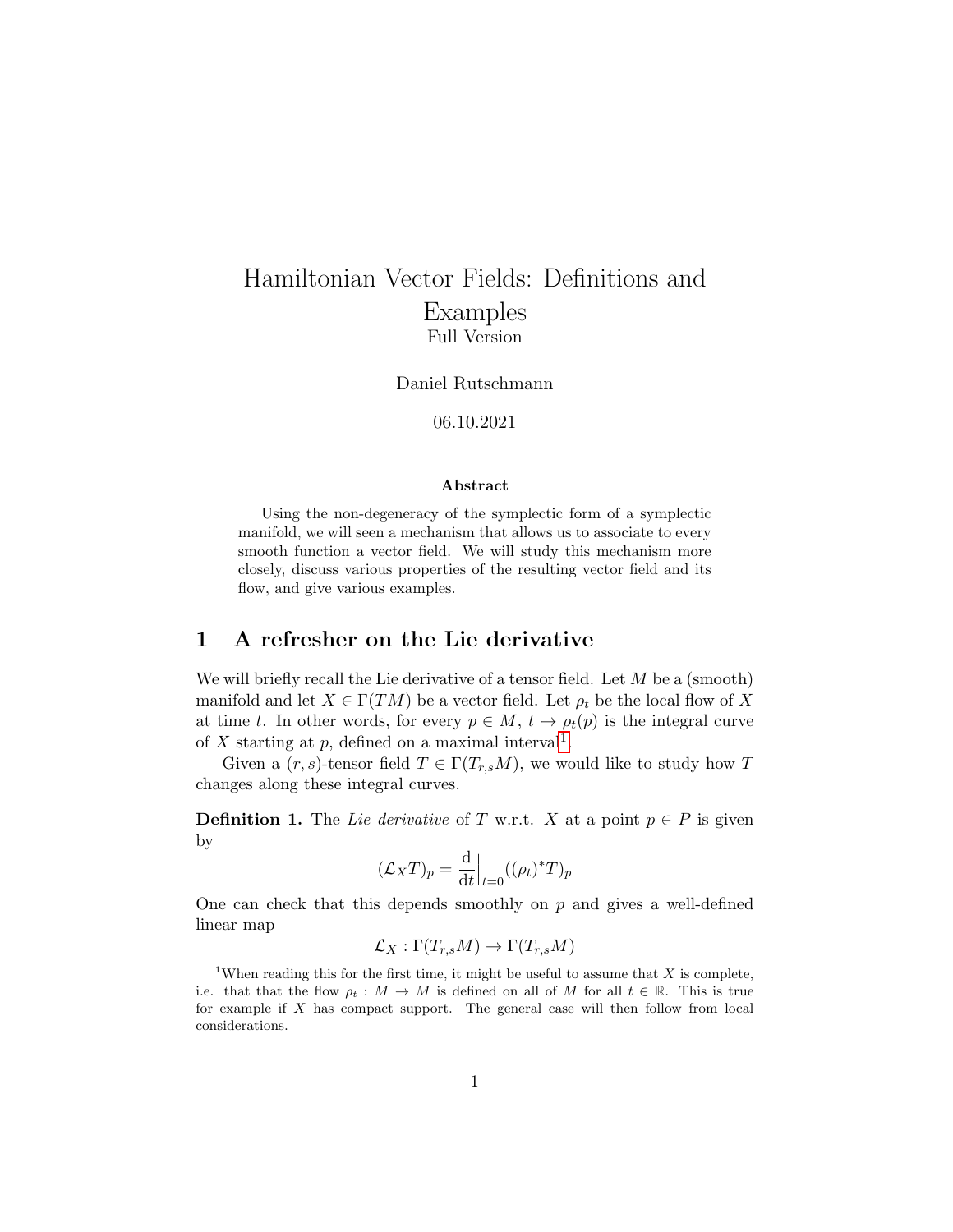# Hamiltonian Vector Fields: Definitions and Examples Full Version

Daniel Rutschmann

06.10.2021

#### Abstract

Using the non-degeneracy of the symplectic form of a symplectic manifold, we will seen a mechanism that allows us to associate to every smooth function a vector field. We will study this mechanism more closely, discuss various properties of the resulting vector field and its flow, and give various examples.

## 1 A refresher on the Lie derivative

We will briefly recall the Lie derivative of a tensor field. Let  $M$  be a (smooth) manifold and let  $X \in \Gamma(TM)$  be a vector field. Let  $\rho_t$  be the local flow of X at time t. In other words, for every  $p \in M$ ,  $t \mapsto \rho_t(p)$  is the integral curve of X starting at p, defined on a maximal interval<sup>[1](#page-0-0)</sup>.

Given a  $(r, s)$ -tensor field  $T \in \Gamma(T_{r,s}M)$ , we would like to study how T changes along these integral curves.

**Definition 1.** The Lie derivative of T w.r.t. X at a point  $p \in P$  is given by

$$
(\mathcal{L}_X T)_p = \frac{\mathrm{d}}{\mathrm{d}t} \Big|_{t=0} ((\rho_t)^* T)_p
$$

One can check that this depends smoothly on  $p$  and gives a well-defined linear map

$$
\mathcal{L}_X : \Gamma(T_{r,s}M) \to \Gamma(T_{r,s}M)
$$

<span id="page-0-0"></span><sup>&</sup>lt;sup>1</sup>When reading this for the first time, it might be useful to assume that  $X$  is complete, i.e. that that the flow  $\rho_t : M \to M$  is defined on all of M for all  $t \in \mathbb{R}$ . This is true for example if X has compact support. The general case will then follow from local considerations.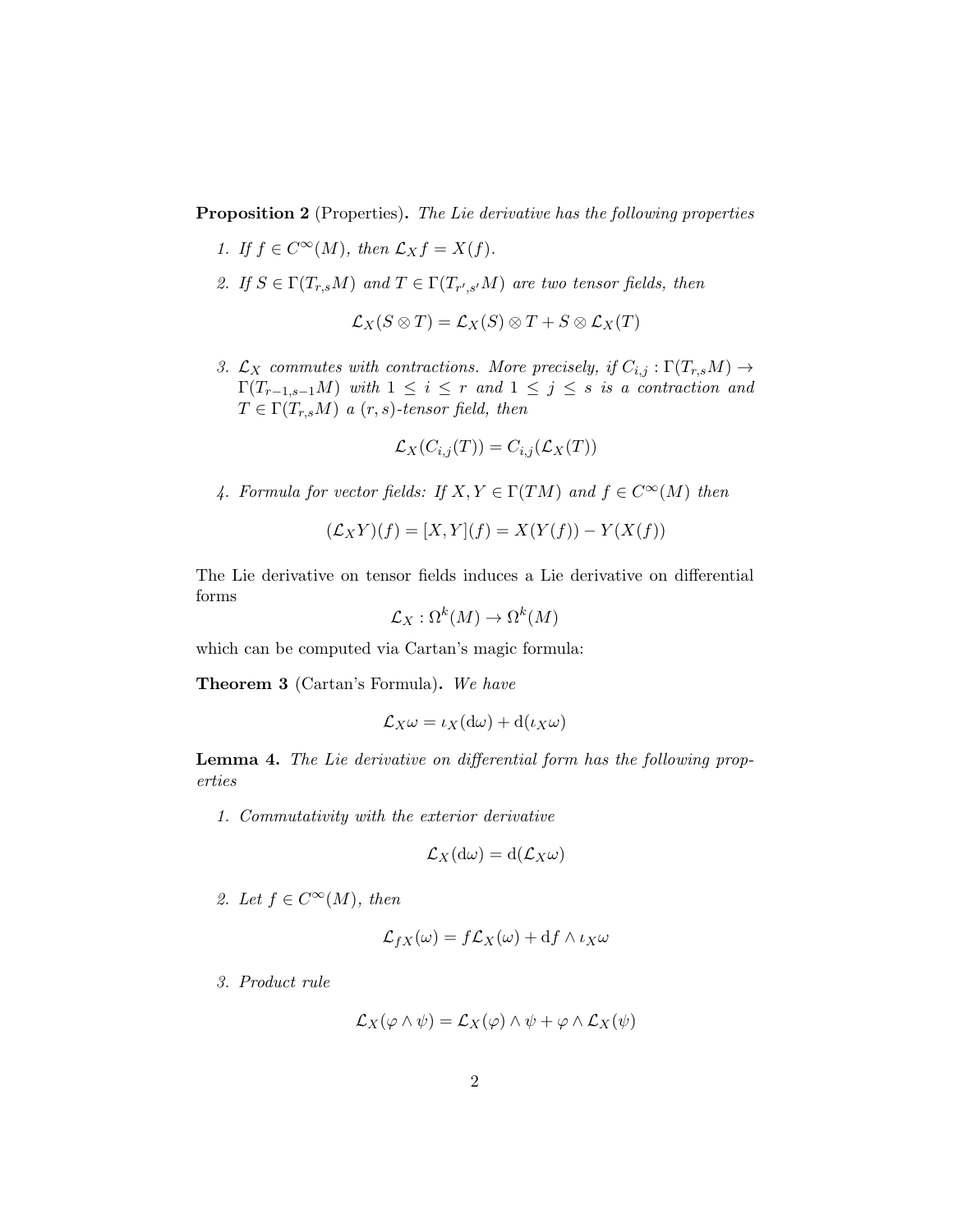**Proposition 2** (Properties). The Lie derivative has the following properties

- 1. If  $f \in C^{\infty}(M)$ , then  $\mathcal{L}_X f = X(f)$ .
- 2. If  $S \in \Gamma(T_{r,s}M)$  and  $T \in \Gamma(T_{r',s'}M)$  are two tensor fields, then

$$
\mathcal{L}_X(S\otimes T)=\mathcal{L}_X(S)\otimes T+S\otimes \mathcal{L}_X(T)
$$

3.  $\mathcal{L}_X$  commutes with contractions. More precisely, if  $C_{i,j} : \Gamma(T_{r,s}M) \to$  $\Gamma(T_{r-1,s-1}M)$  with  $1 \leq i \leq r$  and  $1 \leq j \leq s$  is a contraction and  $T \in \Gamma(T_{r,s}M)$  a  $(r, s)$ -tensor field, then

$$
\mathcal{L}_X(C_{i,j}(T)) = C_{i,j}(\mathcal{L}_X(T))
$$

4. Formula for vector fields: If  $X, Y \in \Gamma(TM)$  and  $f \in C^{\infty}(M)$  then

$$
(\mathcal{L}_X Y)(f) = [X, Y](f) = X(Y(f)) - Y(X(f))
$$

The Lie derivative on tensor fields induces a Lie derivative on differential forms

$$
\mathcal{L}_X : \Omega^k(M) \to \Omega^k(M)
$$

which can be computed via Cartan's magic formula:

Theorem 3 (Cartan's Formula). We have

$$
\mathcal{L}_X \omega = \iota_X(\mathrm{d}\omega) + \mathrm{d}(\iota_X \omega)
$$

Lemma 4. The Lie derivative on differential form has the following properties

1. Commutativity with the exterior derivative

$$
\mathcal{L}_X(\mathrm{d}\omega)=\mathrm{d}(\mathcal{L}_X\omega)
$$

2. Let  $f \in C^{\infty}(M)$ , then

$$
\mathcal{L}_{fX}(\omega) = f\mathcal{L}_X(\omega) + df \wedge \iota_X \omega
$$

3. Product rule

$$
\mathcal{L}_X(\varphi \wedge \psi) = \mathcal{L}_X(\varphi) \wedge \psi + \varphi \wedge \mathcal{L}_X(\psi)
$$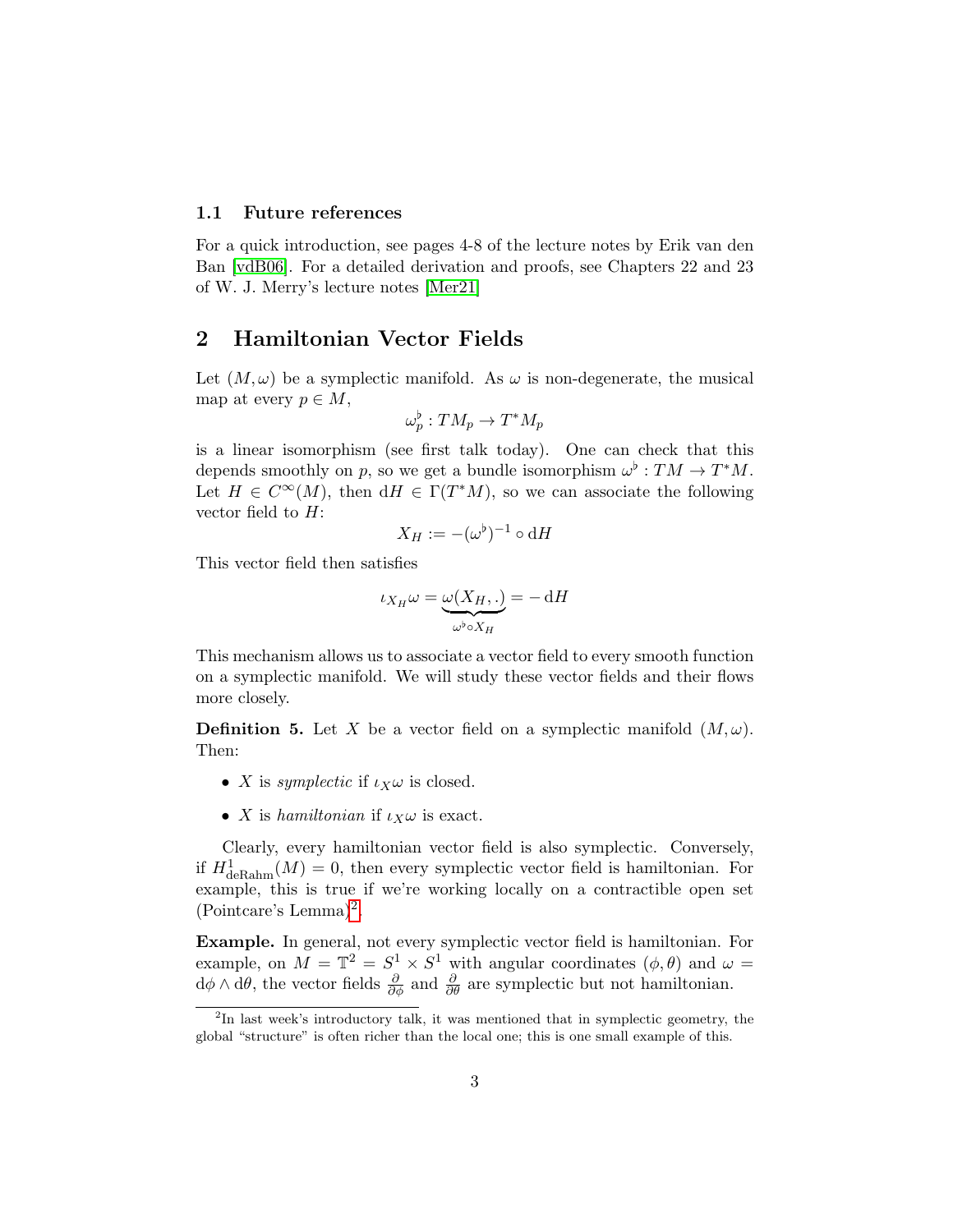#### 1.1 Future references

For a quick introduction, see pages 4-8 of the lecture notes by Erik van den Ban [\[vdB06\]](#page-10-0). For a detailed derivation and proofs, see Chapters 22 and 23 of W. J. Merry's lecture notes [\[Mer21\]](#page-10-1)

### 2 Hamiltonian Vector Fields

Let  $(M, \omega)$  be a symplectic manifold. As  $\omega$  is non-degenerate, the musical map at every  $p \in M$ ,

$$
\omega_p^{\flat} : TM_p \to T^*M_p
$$

is a linear isomorphism (see first talk today). One can check that this depends smoothly on p, so we get a bundle isomorphism  $\omega^{\flat}: TM \to T^*M$ . Let  $H \in C^{\infty}(M)$ , then  $dH \in \Gamma(T^*M)$ , so we can associate the following vector field to  $H$ :

$$
X_H := -(\omega^\flat)^{-1} \circ \mathrm{d} H
$$

This vector field then satisfies

$$
\iota_{X_H}\omega=\underbrace{\omega(X_H,.)}_{\omega^\flat\circ X_H}=-\,\mathrm{d} H
$$

This mechanism allows us to associate a vector field to every smooth function on a symplectic manifold. We will study these vector fields and their flows more closely.

**Definition 5.** Let X be a vector field on a symplectic manifold  $(M, \omega)$ . Then:

- X is symplectic if  $\iota_X \omega$  is closed.
- X is hamiltonian if  $\iota_X \omega$  is exact.

Clearly, every hamiltonian vector field is also symplectic. Conversely, if  $H^1_{\text{deRahn}}(M) = 0$ , then every symplectic vector field is hamiltonian. For example, this is true if we're working locally on a contractible open set (Pointcare's Lemma)[2](#page-2-0) .

Example. In general, not every symplectic vector field is hamiltonian. For example, on  $M = \mathbb{T}^2 = S^1 \times S^1$  with angular coordinates  $(\phi, \theta)$  and  $\omega =$  $d\phi \wedge d\theta$ , the vector fields  $\frac{\partial}{\partial \phi}$  and  $\frac{\partial}{\partial \theta}$  are symplectic but not hamiltonian.

<span id="page-2-0"></span><sup>&</sup>lt;sup>2</sup>In last week's introductory talk, it was mentioned that in symplectic geometry, the global "structure" is often richer than the local one; this is one small example of this.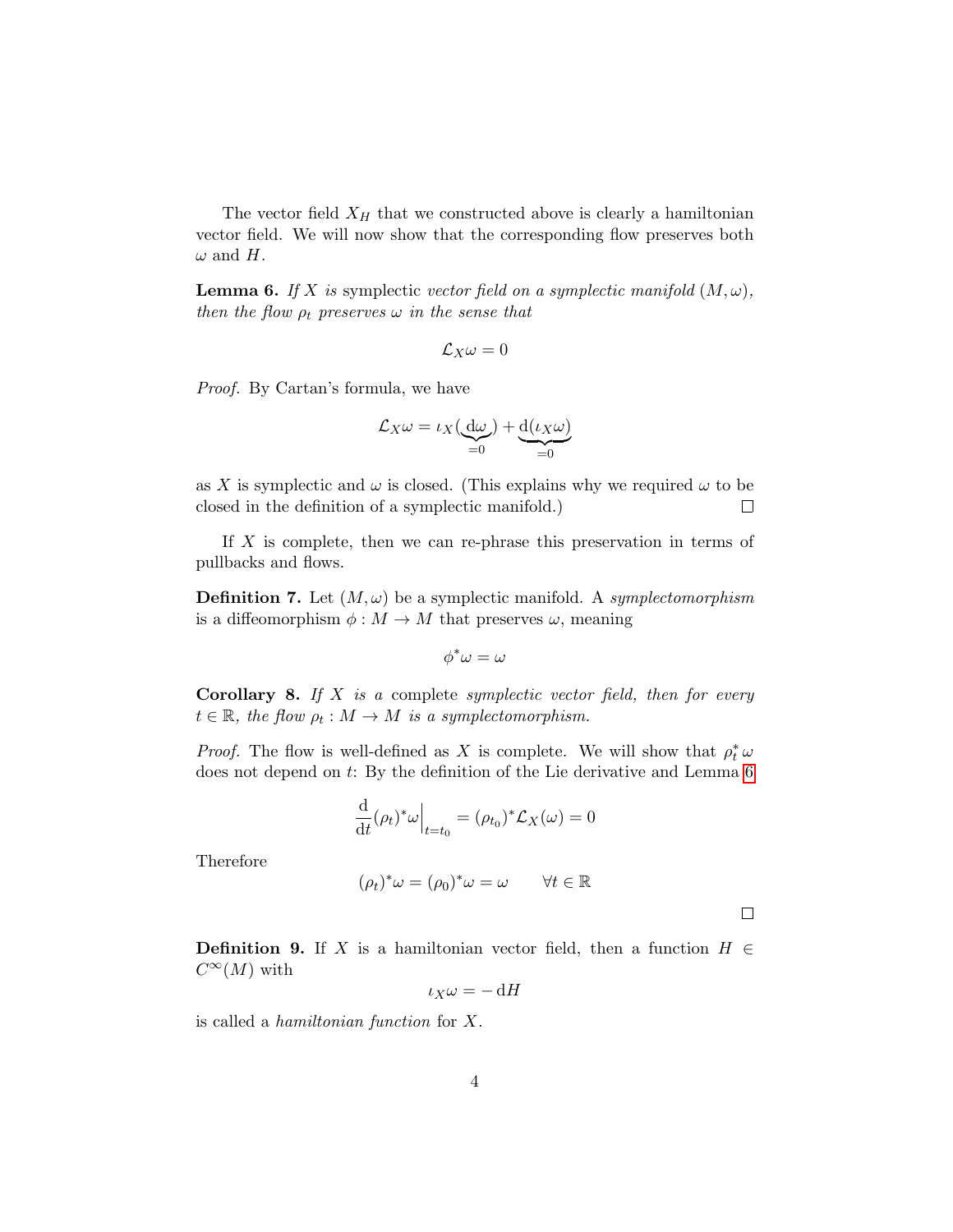The vector field  $X_H$  that we constructed above is clearly a hamiltonian vector field. We will now show that the corresponding flow preserves both  $\omega$  and H.

<span id="page-3-0"></span>**Lemma 6.** If X is symplectic vector field on a symplectic manifold  $(M, \omega)$ , then the flow  $\rho_t$  preserves  $\omega$  in the sense that

$$
\mathcal{L}_X\omega=0
$$

Proof. By Cartan's formula, we have

$$
\mathcal{L}_X \omega = \iota_X(\underbrace{\mathrm{d}\omega}_{=0}) + \underbrace{\mathrm{d}(\iota_X \omega)}_{=0}
$$

as X is symplectic and  $\omega$  is closed. (This explains why we required  $\omega$  to be closed in the definition of a symplectic manifold.)  $\Box$ 

If  $X$  is complete, then we can re-phrase this preservation in terms of pullbacks and flows.

**Definition 7.** Let  $(M, \omega)$  be a symplectic manifold. A symplectomorphism is a diffeomorphism  $\phi : M \to M$  that preserves  $\omega$ , meaning

$$
\phi^*\omega=\omega
$$

**Corollary 8.** If  $X$  is a complete symplectic vector field, then for every  $t \in \mathbb{R}$ , the flow  $\rho_t : M \to M$  is a symplectomorphism.

*Proof.* The flow is well-defined as X is complete. We will show that  $\rho_t^* \omega$ does not depend on  $t$ : By the definition of the Lie derivative and Lemma [6](#page-3-0)

$$
\frac{\mathrm{d}}{\mathrm{d}t}(\rho_t)^*\omega\Big|_{t=t_0}=(\rho_{t_0})^*\mathcal{L}_X(\omega)=0
$$

Therefore

$$
(\rho_t)^*\omega = (\rho_0)^*\omega = \omega \qquad \forall t \in \mathbb{R}
$$

 $\Box$ 

**Definition 9.** If X is a hamiltonian vector field, then a function  $H \in$  $C^{\infty}(M)$  with

$$
\iota_X\omega=-\,\mathrm{d} H
$$

is called a hamiltonian function for X.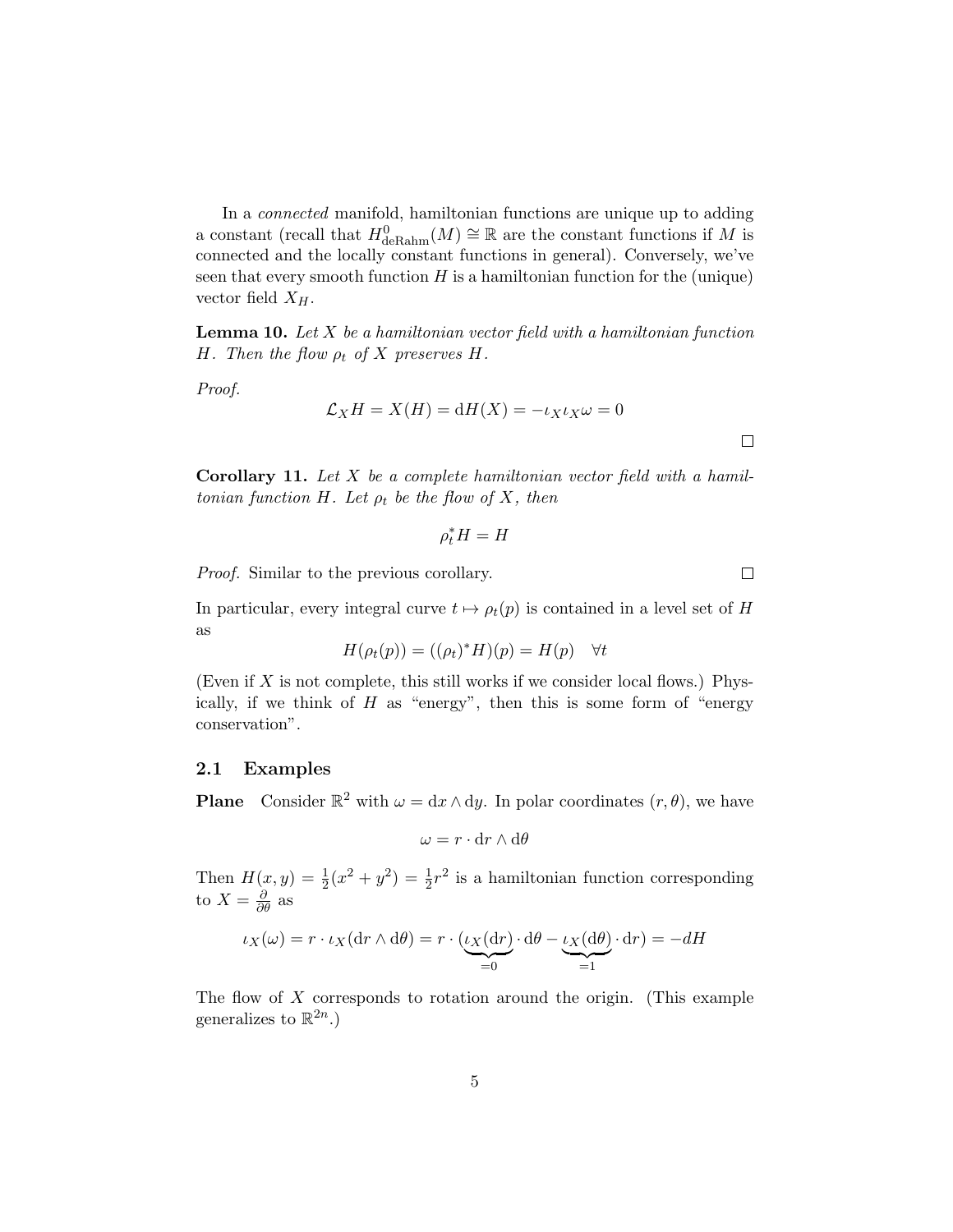In a connected manifold, hamiltonian functions are unique up to adding a constant (recall that  $H^0_{\text{deRahn}}(M) \cong \mathbb{R}$  are the constant functions if M is connected and the locally constant functions in general). Conversely, we've seen that every smooth function  $H$  is a hamiltonian function for the (unique) vector field  $X_H$ .

**Lemma 10.** Let  $X$  be a hamiltonian vector field with a hamiltonian function H. Then the flow  $\rho_t$  of X preserves H.

Proof.

$$
\mathcal{L}_X H = X(H) = dH(X) = -\iota_X \iota_X \omega = 0
$$

**Corollary 11.** Let  $X$  be a complete hamiltonian vector field with a hamiltonian function H. Let  $\rho_t$  be the flow of X, then

 $\rho_t^* H = H$ 

Proof. Similar to the previous corollary.

In particular, every integral curve  $t \mapsto \rho_t(p)$  is contained in a level set of H as

$$
H(\rho_t(p)) = ((\rho_t)^* H)(p) = H(p) \quad \forall t
$$

(Even if  $X$  is not complete, this still works if we consider local flows.) Physically, if we think of  $H$  as "energy", then this is some form of "energy" conservation".

#### 2.1 Examples

**Plane** Consider  $\mathbb{R}^2$  with  $\omega = dx \wedge dy$ . In polar coordinates  $(r, \theta)$ , we have

$$
\omega = r \cdot dr \wedge d\theta
$$

Then  $H(x, y) = \frac{1}{2}(x^2 + y^2) = \frac{1}{2}r^2$  is a hamiltonian function corresponding to  $X = \frac{\partial}{\partial \theta}$  as

$$
\iota_X(\omega) = r \cdot \iota_X(\mathrm{d}r \wedge \mathrm{d}\theta) = r \cdot (\underbrace{\iota_X(\mathrm{d}r)}_{=0} \cdot \mathrm{d}\theta - \underbrace{\iota_X(\mathrm{d}\theta)}_{=1} \cdot \mathrm{d}r) = -dH
$$

The flow of X corresponds to rotation around the origin. (This example generalizes to  $\mathbb{R}^{2n}$ .)

 $\Box$ 

 $\Box$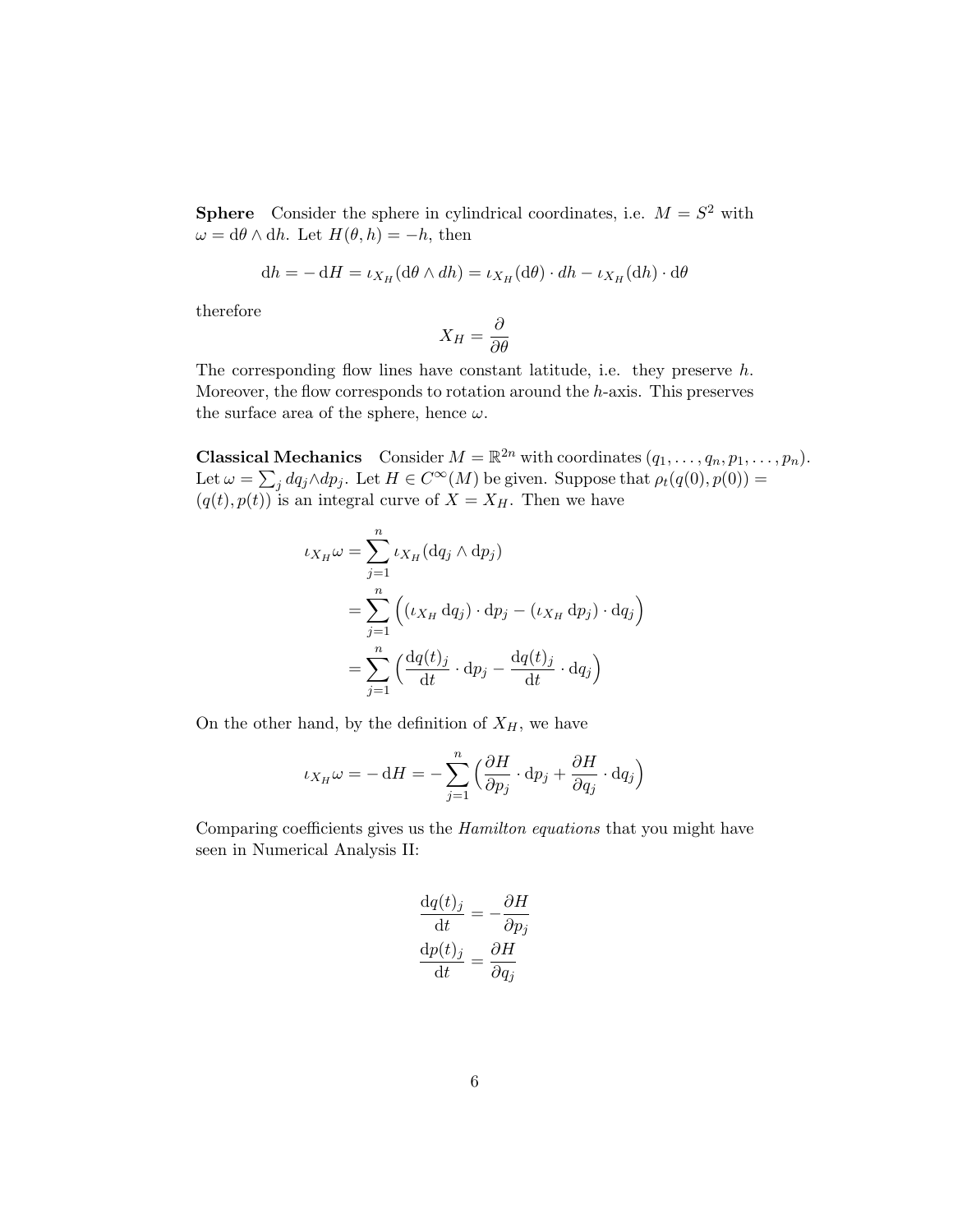**Sphere** Consider the sphere in cylindrical coordinates, i.e.  $M = S^2$  with  $\omega = d\theta \wedge dh$ . Let  $H(\theta, h) = -h$ , then

$$
dh = - dH = \iota_{X_H}(d\theta \wedge dh) = \iota_{X_H}(d\theta) \cdot dh - \iota_{X_H}(dh) \cdot d\theta
$$

therefore

$$
X_H = \frac{\partial}{\partial \theta}
$$

The corresponding flow lines have constant latitude, i.e. they preserve h. Moreover, the flow corresponds to rotation around the  $h$ -axis. This preserves the surface area of the sphere, hence  $\omega$ .

**Classical Mechanics** Consider  $M = \mathbb{R}^{2n}$  with coordinates  $(q_1, \ldots, q_n, p_1, \ldots, p_n)$ . Let  $\omega = \sum_j dq_j \wedge dp_j$ . Let  $H \in C^{\infty}(M)$  be given. Suppose that  $\rho_t(q(0), p(0)) =$  $(q(t), p(t))$  is an integral curve of  $X = X_H$ . Then we have

$$
\iota_{X_H} \omega = \sum_{j=1}^n \iota_{X_H} (\mathrm{d}q_j \wedge \mathrm{d}p_j)
$$
  
= 
$$
\sum_{j=1}^n \left( (\iota_{X_H} \mathrm{d}q_j) \cdot \mathrm{d}p_j - (\iota_{X_H} \mathrm{d}p_j) \cdot \mathrm{d}q_j \right)
$$
  
= 
$$
\sum_{j=1}^n \left( \frac{\mathrm{d}q(t)_j}{\mathrm{d}t} \cdot \mathrm{d}p_j - \frac{\mathrm{d}q(t)_j}{\mathrm{d}t} \cdot \mathrm{d}q_j \right)
$$

On the other hand, by the definition of  $X_H$ , we have

$$
\iota_{X_H}\omega = -\,\mathrm{d} H = -\sum_{j=1}^n\Big(\frac{\partial H}{\partial p_j}\cdot\mathrm{d} p_j + \frac{\partial H}{\partial q_j}\cdot\mathrm{d} q_j\Big)
$$

Comparing coefficients gives us the Hamilton equations that you might have seen in Numerical Analysis II:

$$
\frac{dq(t)_j}{dt} = -\frac{\partial H}{\partial p_j}
$$

$$
\frac{dp(t)_j}{dt} = \frac{\partial H}{\partial q_j}
$$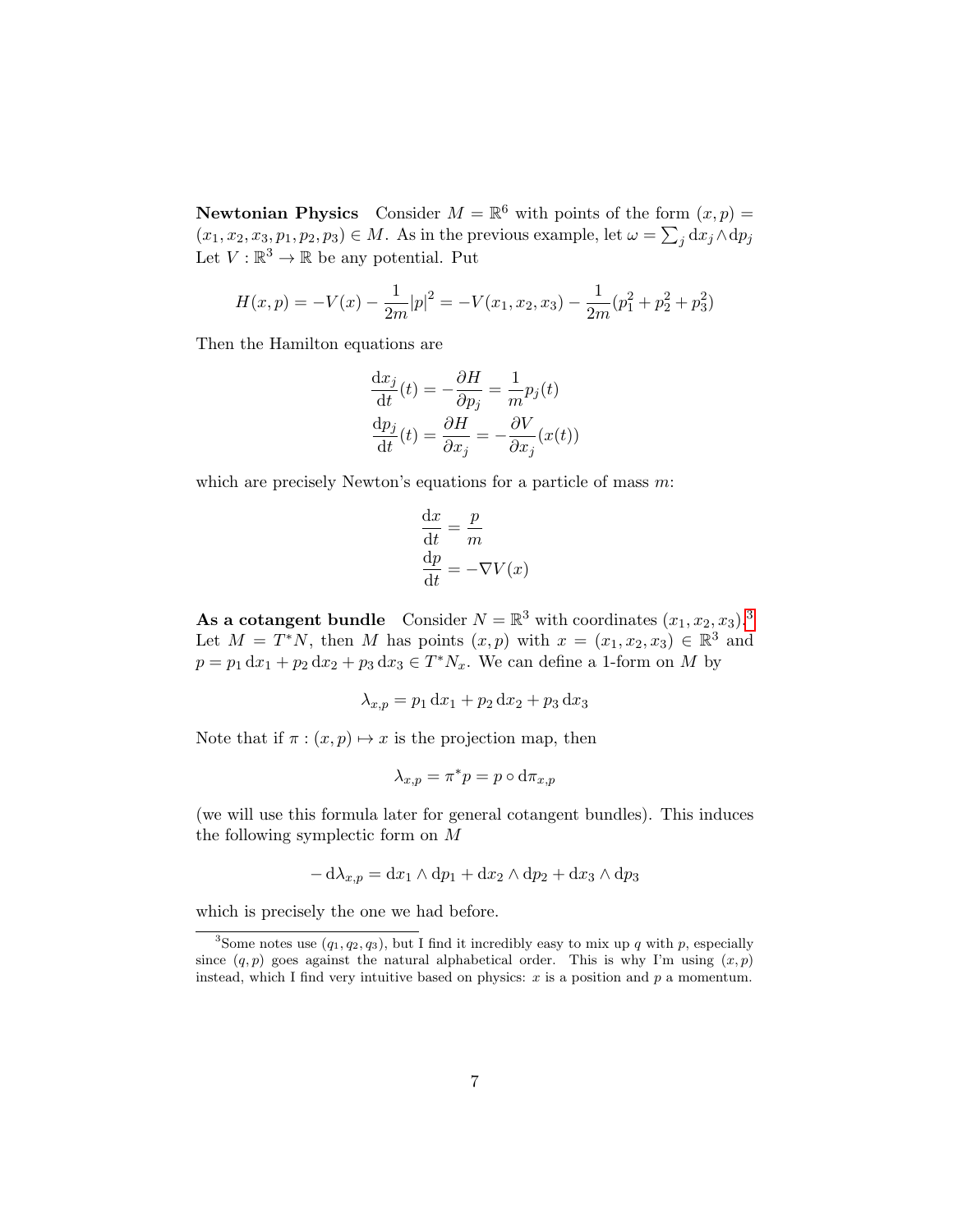**Newtonian Physics** Consider  $M = \mathbb{R}^6$  with points of the form  $(x, p) =$  $(x_1, x_2, x_3, p_1, p_2, p_3) \in M$ . As in the previous example, let  $\omega = \sum_j dx_j \wedge dp_j$ Let  $V : \mathbb{R}^3 \to \mathbb{R}$  be any potential. Put

$$
H(x,p) = -V(x) - \frac{1}{2m}|p|^2 = -V(x_1, x_2, x_3) - \frac{1}{2m}(p_1^2 + p_2^2 + p_3^2)
$$

Then the Hamilton equations are

$$
\frac{dx_j}{dt}(t) = -\frac{\partial H}{\partial p_j} = \frac{1}{m}p_j(t)
$$

$$
\frac{dp_j}{dt}(t) = \frac{\partial H}{\partial x_j} = -\frac{\partial V}{\partial x_j}(x(t))
$$

which are precisely Newton's equations for a particle of mass  $m$ :

$$
\frac{dx}{dt} = \frac{p}{m}
$$

$$
\frac{dp}{dt} = -\nabla V(x)
$$

As a cotangent bundle Consider  $N = \mathbb{R}^3$  $N = \mathbb{R}^3$  with coordinates  $(x_1, x_2, x_3)$ . Let  $M = T^*N$ , then M has points  $(x, p)$  with  $x = (x_1, x_2, x_3) \in \mathbb{R}^3$  and  $p = p_1 dx_1 + p_2 dx_2 + p_3 dx_3 \in T^* N_x$ . We can define a 1-form on M by

$$
\lambda_{x,p} = p_1 \, dx_1 + p_2 \, dx_2 + p_3 \, dx_3
$$

Note that if  $\pi$  :  $(x, p) \mapsto x$  is the projection map, then

$$
\lambda_{x,p} = \pi^* p = p \circ \mathrm{d} \pi_{x,p}
$$

(we will use this formula later for general cotangent bundles). This induces the following symplectic form on M

$$
-\mathrm{d}\lambda_{x,p} = \mathrm{d}x_1 \wedge \mathrm{d}p_1 + \mathrm{d}x_2 \wedge \mathrm{d}p_2 + \mathrm{d}x_3 \wedge \mathrm{d}p_3
$$

which is precisely the one we had before.

<span id="page-6-0"></span><sup>&</sup>lt;sup>3</sup>Some notes use  $(q_1, q_2, q_3)$ , but I find it incredibly easy to mix up q with p, especially since  $(q, p)$  goes against the natural alphabetical order. This is why I'm using  $(x, p)$ instead, which I find very intuitive based on physics:  $x$  is a position and  $p$  a momentum.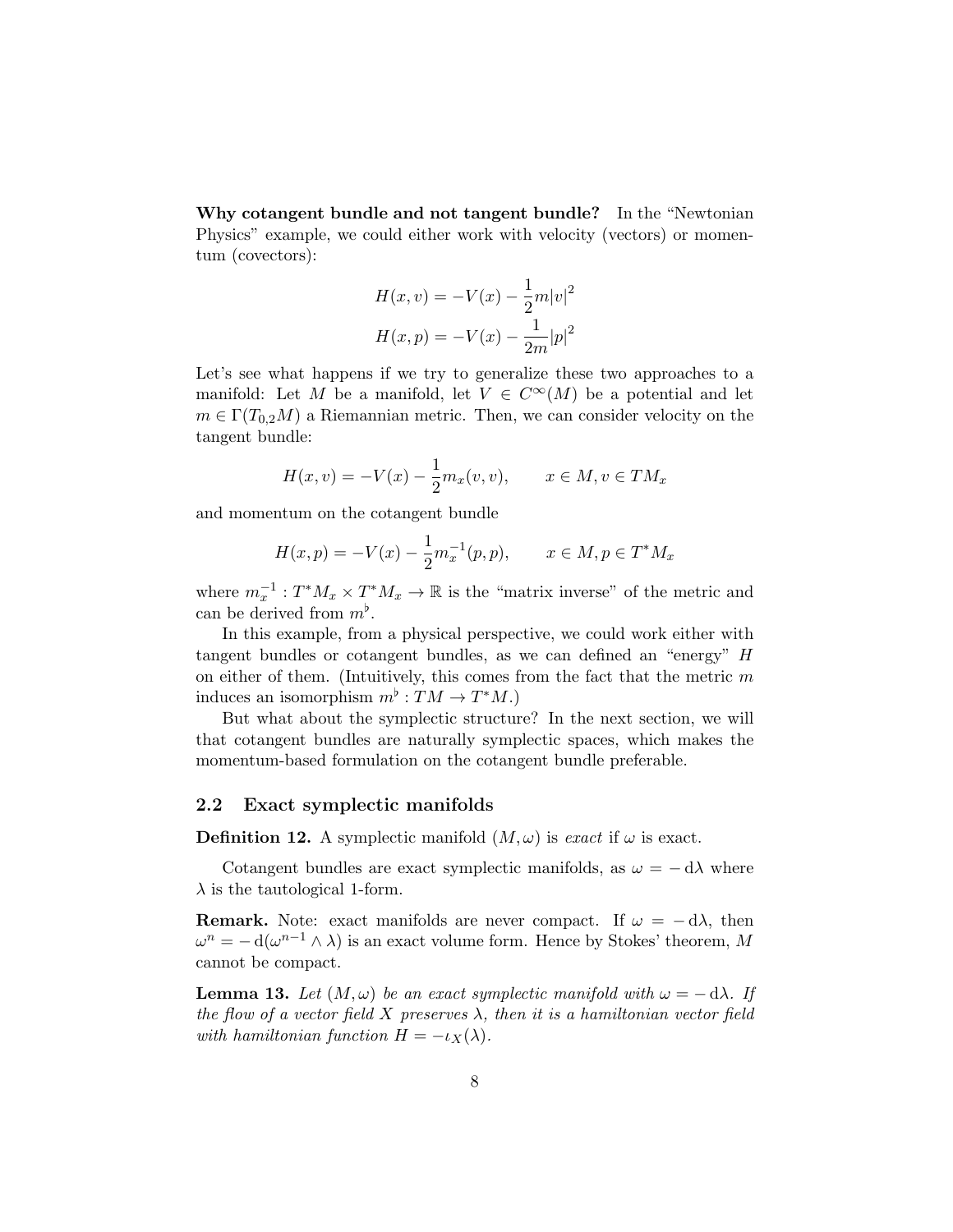Why cotangent bundle and not tangent bundle? In the "Newtonian Physics" example, we could either work with velocity (vectors) or momentum (covectors):

$$
H(x, v) = -V(x) - \frac{1}{2}m|v|^2
$$

$$
H(x, p) = -V(x) - \frac{1}{2m}|p|^2
$$

Let's see what happens if we try to generalize these two approaches to a manifold: Let M be a manifold, let  $V \in C^{\infty}(M)$  be a potential and let  $m \in \Gamma(T_{0,2}M)$  a Riemannian metric. Then, we can consider velocity on the tangent bundle:

$$
H(x, v) = -V(x) - \frac{1}{2}m_x(v, v), \qquad x \in M, v \in TM_x
$$

and momentum on the cotangent bundle

$$
H(x, p) = -V(x) - \frac{1}{2}m_x^{-1}(p, p), \qquad x \in M, p \in T^*M_x
$$

where  $m_x^{-1}: T^*M_x \times T^*M_x \to \mathbb{R}$  is the "matrix inverse" of the metric and can be derived from  $m^{\flat}$ .

In this example, from a physical perspective, we could work either with tangent bundles or cotangent bundles, as we can defined an "energy" H on either of them. (Intuitively, this comes from the fact that the metric  $m$ induces an isomorphism  $m^{\flat}: TM \to T^*M$ .)

But what about the symplectic structure? In the next section, we will that cotangent bundles are naturally symplectic spaces, which makes the momentum-based formulation on the cotangent bundle preferable.

#### 2.2 Exact symplectic manifolds

**Definition 12.** A symplectic manifold  $(M, \omega)$  is exact if  $\omega$  is exact.

Cotangent bundles are exact symplectic manifolds, as  $\omega = -d\lambda$  where  $\lambda$  is the tautological 1-form.

**Remark.** Note: exact manifolds are never compact. If  $\omega = -d\lambda$ , then  $\omega^{n} = -\mathrm{d}(\omega^{n-1} \wedge \lambda)$  is an exact volume form. Hence by Stokes' theorem, M cannot be compact.

**Lemma 13.** Let  $(M, \omega)$  be an exact symplectic manifold with  $\omega = -d\lambda$ . If the flow of a vector field  $X$  preserves  $\lambda$ , then it is a hamiltonian vector field with hamiltonian function  $H = -\iota_X(\lambda)$ .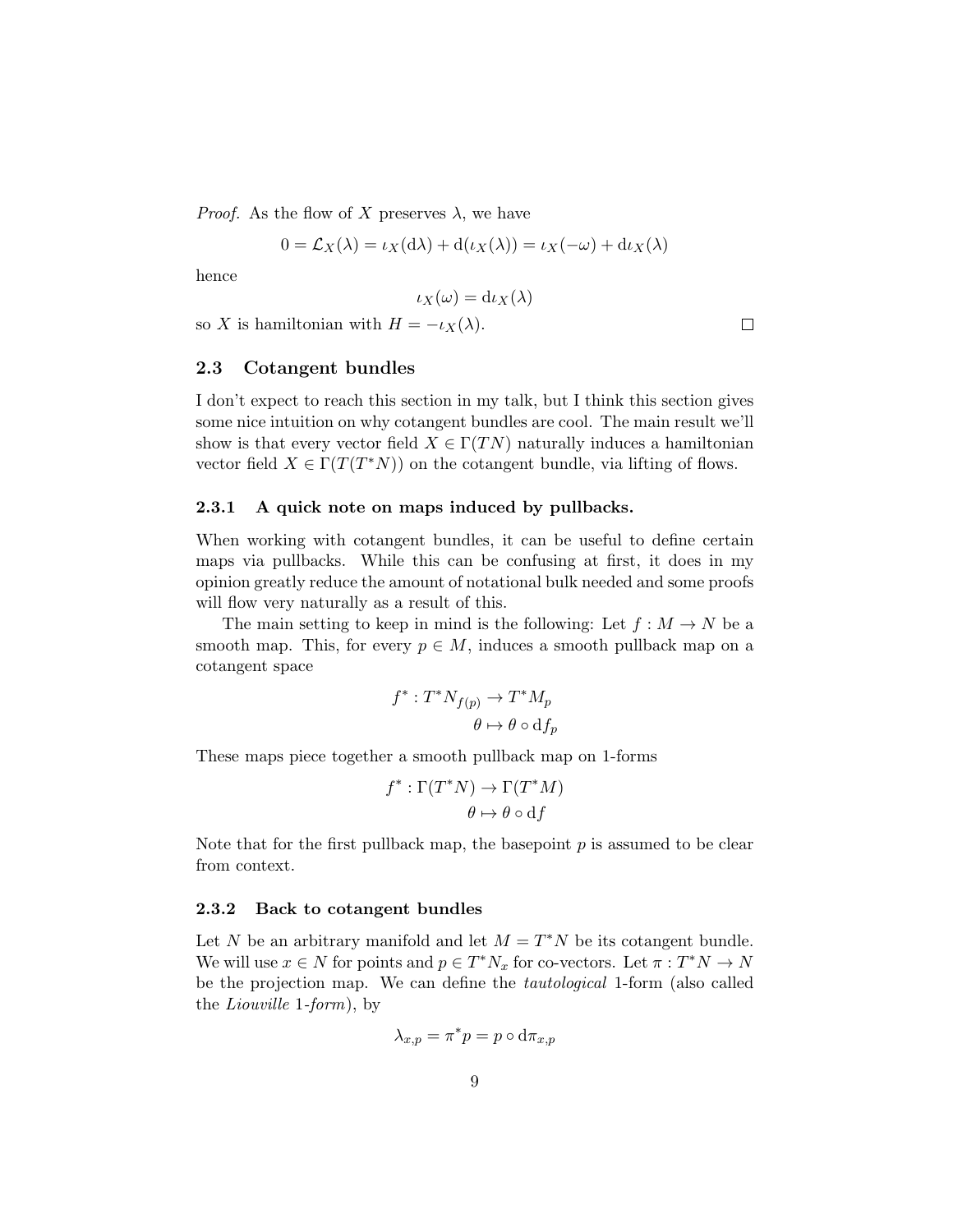*Proof.* As the flow of X preserves  $\lambda$ , we have

$$
0 = \mathcal{L}_X(\lambda) = \iota_X(\mathrm{d}\lambda) + \mathrm{d}(\iota_X(\lambda)) = \iota_X(-\omega) + \mathrm{d}\iota_X(\lambda)
$$

hence

$$
\iota_X(\omega) = \mathrm{d}\iota_X(\lambda)
$$

so X is hamiltonian with  $H = -\iota_X(\lambda)$ .

#### 2.3 Cotangent bundles

I don't expect to reach this section in my talk, but I think this section gives some nice intuition on why cotangent bundles are cool. The main result we'll show is that every vector field  $X \in \Gamma(T_N)$  naturally induces a hamiltonian vector field  $X \in \Gamma(T(T^*N))$  on the cotangent bundle, via lifting of flows.

#### 2.3.1 A quick note on maps induced by pullbacks.

When working with cotangent bundles, it can be useful to define certain maps via pullbacks. While this can be confusing at first, it does in my opinion greatly reduce the amount of notational bulk needed and some proofs will flow very naturally as a result of this.

The main setting to keep in mind is the following: Let  $f : M \to N$  be a smooth map. This, for every  $p \in M$ , induces a smooth pullback map on a cotangent space

$$
f^* : T^*N_{f(p)} \to T^*M_p
$$

$$
\theta \mapsto \theta \circ df_p
$$

These maps piece together a smooth pullback map on 1-forms

$$
f^* : \Gamma(T^*N) \to \Gamma(T^*M)
$$

$$
\theta \mapsto \theta \circ df
$$

Note that for the first pullback map, the basepoint  $p$  is assumed to be clear from context.

#### 2.3.2 Back to cotangent bundles

Let N be an arbitrary manifold and let  $M = T^*N$  be its cotangent bundle. We will use  $x \in N$  for points and  $p \in T^*N_x$  for co-vectors. Let  $\pi : T^*N \to N$ be the projection map. We can define the tautological 1-form (also called the Liouville 1-form), by

$$
\lambda_{x,p} = \pi^* p = p \circ \mathrm{d} \pi_{x,p}
$$

 $\Box$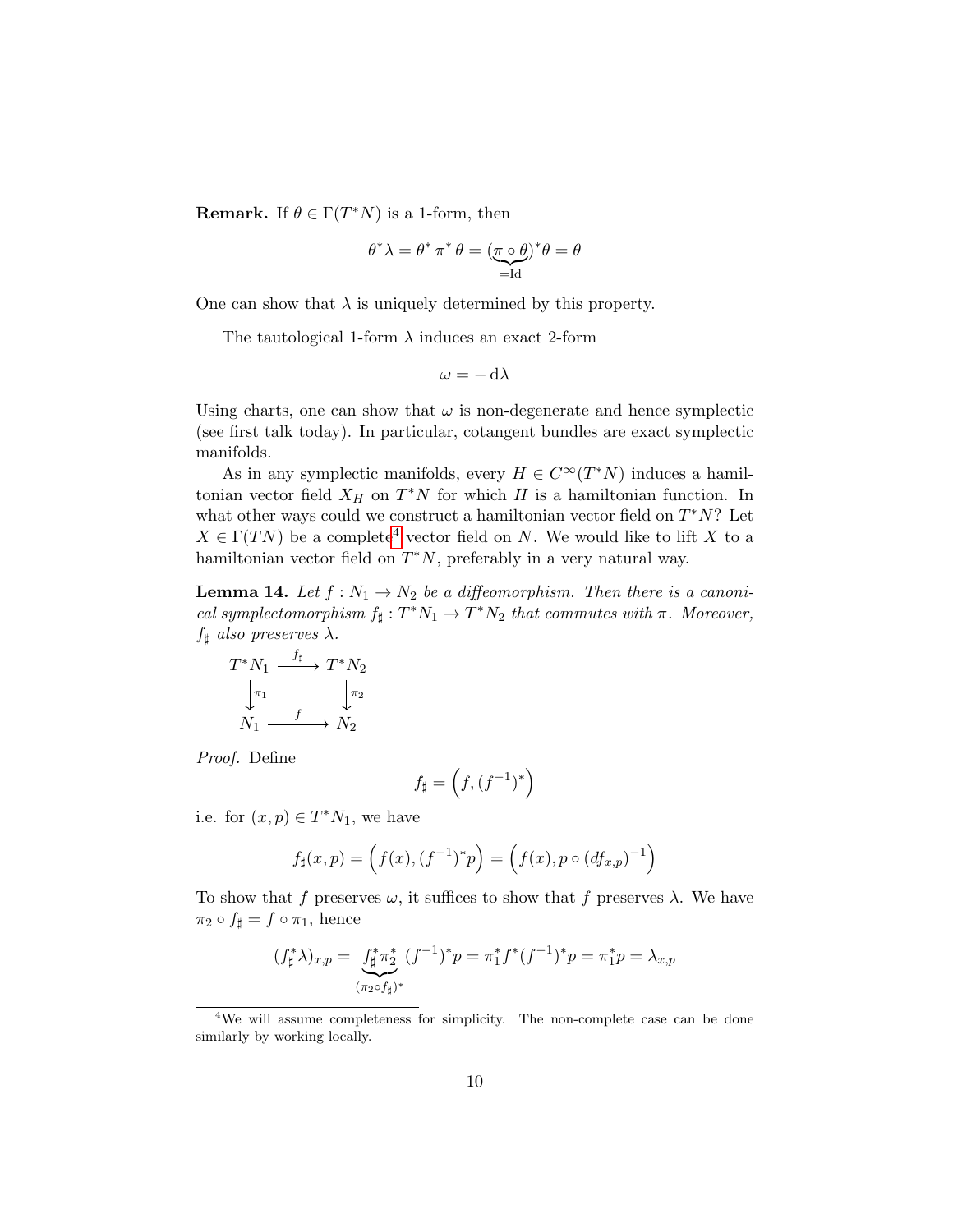**Remark.** If  $\theta \in \Gamma(T^*N)$  is a 1-form, then

$$
\theta^*\lambda = \theta^*\,\pi^*\,\theta = (\underbrace{\pi\circ\theta}_{=\mathrm{Id}})^*\theta = \theta
$$

One can show that  $\lambda$  is uniquely determined by this property.

The tautological 1-form  $\lambda$  induces an exact 2-form

$$
\omega = -\,\mathrm{d}\lambda
$$

Using charts, one can show that  $\omega$  is non-degenerate and hence symplectic (see first talk today). In particular, cotangent bundles are exact symplectic manifolds.

As in any symplectic manifolds, every  $H \in C^{\infty}(T^*N)$  induces a hamiltonian vector field  $X_H$  on  $T^*N$  for which H is a hamiltonian function. In what other ways could we construct a hamiltonian vector field on  $T^*N$ ? Let  $X \in \Gamma(T_N)$  be a complete<sup>[4](#page-9-0)</sup> vector field on N. We would like to lift X to a hamiltonian vector field on  $T^*N$ , preferably in a very natural way.

**Lemma 14.** Let  $f : N_1 \to N_2$  be a diffeomorphism. Then there is a canonical symplectomorphism  $f_{\sharp}: T^*N_1 \to T^*N_2$  that commutes with  $\pi$ . Moreover,  $f_{\sharp}$  also preserves  $\lambda$ .

$$
T^*N_1 \xrightarrow{f_{\sharp}} T^*N_2
$$

$$
\downarrow_{\pi_1} \qquad \qquad \downarrow_{\pi_2}
$$

$$
N_1 \xrightarrow{f} N_2
$$

Proof. Define

$$
f_\sharp=\left(f,(f^{-1})^*\right)
$$

i.e. for  $(x, p) \in T^*N_1$ , we have

$$
f_{\sharp}(x,p) = (f(x), (f^{-1})^*p) = (f(x), p \circ (df_{x,p})^{-1})
$$

To show that f preserves  $\omega$ , it suffices to show that f preserves  $\lambda$ . We have  $\pi_2 \circ f_{\sharp} = f \circ \pi_1$ , hence

$$
(f_{\sharp}^{*}\lambda)_{x,p} = \underbrace{f_{\sharp}^{*}\pi_{2}^{*}}_{(\pi_{2}\circ f_{\sharp})^{*}} (f^{-1})^{*}p = \pi_{1}^{*}f^{*}(f^{-1})^{*}p = \pi_{1}^{*}p = \lambda_{x,p}
$$

<span id="page-9-0"></span><sup>4</sup>We will assume completeness for simplicity. The non-complete case can be done similarly by working locally.